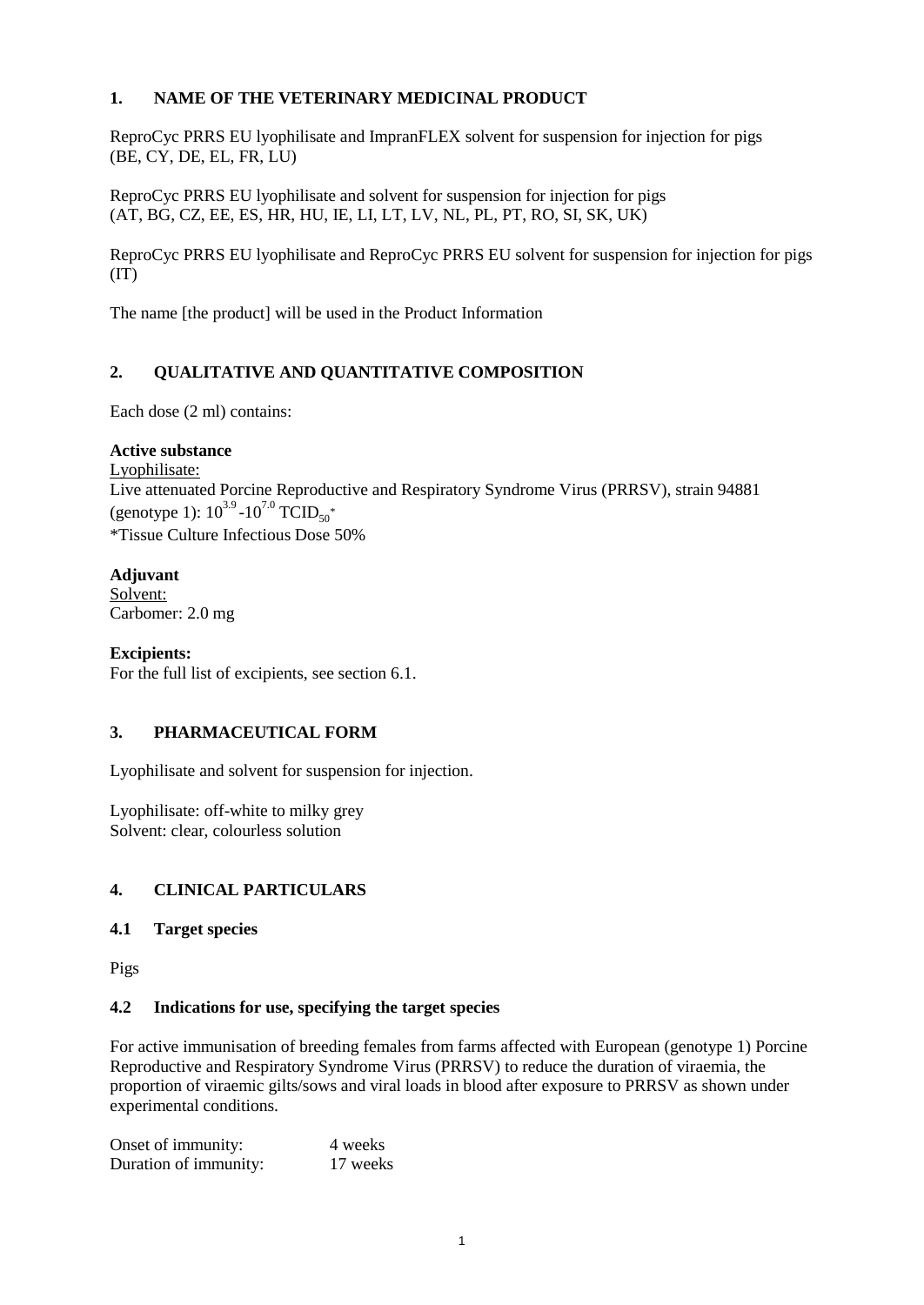# **1. NAME OF THE VETERINARY MEDICINAL PRODUCT**

ReproCyc PRRS EU lyophilisate and ImpranFLEX solvent for suspension for injection for pigs (BE, CY, DE, EL, FR, LU)

ReproCyc PRRS EU lyophilisate and solvent for suspension for injection for pigs (AT, BG, CZ, EE, ES, HR, HU, IE, LI, LT, LV, NL, PL, PT, RO, SI, SK, UK)

ReproCyc PRRS EU lyophilisate and ReproCyc PRRS EU solvent for suspension for injection for pigs  $(IT)$ 

The name [the product] will be used in the Product Information

# **2. QUALITATIVE AND QUANTITATIVE COMPOSITION**

Each dose (2 ml) contains:

### **Active substance**

Lyophilisate: Live attenuated Porcine Reproductive and Respiratory Syndrome Virus (PRRSV), strain 94881 (genotype 1):  $10^{3.9}$  - $10^{7.0}$  TCID<sub>50</sub><sup>\*</sup> \*Tissue Culture Infectious Dose 50%

## **Adjuvant**

Solvent: Carbomer: 2.0 mg

**Excipients:** For the full list of excipients, see section 6.1.

## **3. PHARMACEUTICAL FORM**

Lyophilisate and solvent for suspension for injection.

Lyophilisate: off-white to milky grey Solvent: clear, colourless solution

## **4. CLINICAL PARTICULARS**

## **4.1 Target species**

Pigs

#### **4.2 Indications for use, specifying the target species**

For active immunisation of breeding females from farms affected with European (genotype 1) Porcine Reproductive and Respiratory Syndrome Virus (PRRSV) to reduce the duration of viraemia, the proportion of viraemic gilts/sows and viral loads in blood after exposure to PRRSV as shown under experimental conditions.

| Onset of immunity:    | 4 weeks  |
|-----------------------|----------|
| Duration of immunity: | 17 weeks |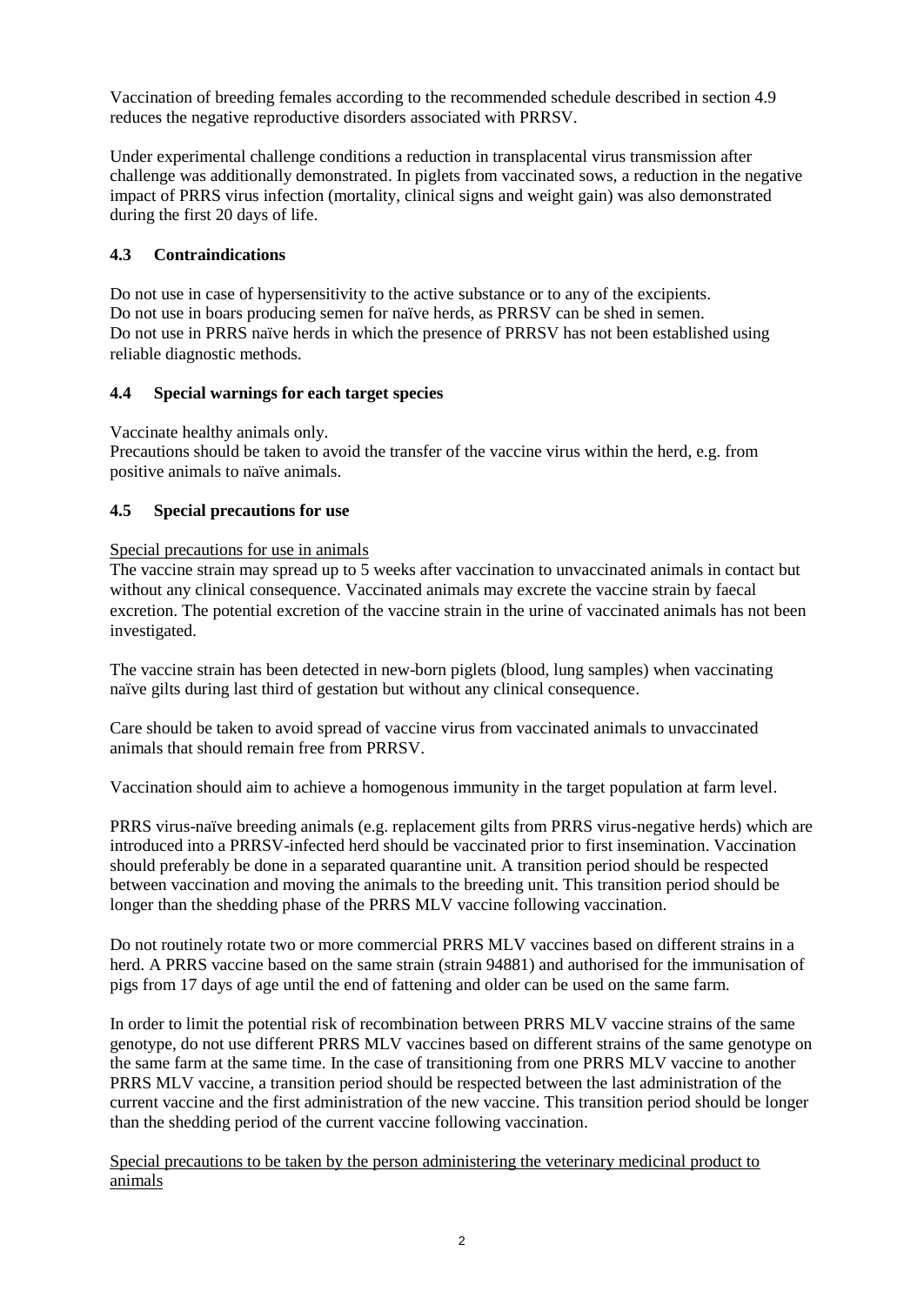Vaccination of breeding females according to the recommended schedule described in section 4.9 reduces the negative reproductive disorders associated with PRRSV.

Under experimental challenge conditions a reduction in transplacental virus transmission after challenge was additionally demonstrated. In piglets from vaccinated sows, a reduction in the negative impact of PRRS virus infection (mortality, clinical signs and weight gain) was also demonstrated during the first 20 days of life.

## **4.3 Contraindications**

Do not use in case of hypersensitivity to the active substance or to any of the excipients. Do not use in boars producing semen for naïve herds, as PRRSV can be shed in semen. Do not use in PRRS naïve herds in which the presence of PRRSV has not been established using reliable diagnostic methods.

### **4.4 Special warnings for each target species**

Vaccinate healthy animals only.

Precautions should be taken to avoid the transfer of the vaccine virus within the herd, e.g. from positive animals to naïve animals.

## **4.5 Special precautions for use**

### Special precautions for use in animals

The vaccine strain may spread up to 5 weeks after vaccination to unvaccinated animals in contact but without any clinical consequence. Vaccinated animals may excrete the vaccine strain by faecal excretion. The potential excretion of the vaccine strain in the urine of vaccinated animals has not been investigated.

The vaccine strain has been detected in new-born piglets (blood, lung samples) when vaccinating naïve gilts during last third of gestation but without any clinical consequence.

Care should be taken to avoid spread of vaccine virus from vaccinated animals to unvaccinated animals that should remain free from PRRSV.

Vaccination should aim to achieve a homogenous immunity in the target population at farm level.

PRRS virus-naïve breeding animals (e.g. replacement gilts from PRRS virus-negative herds) which are introduced into a PRRSV-infected herd should be vaccinated prior to first insemination. Vaccination should preferably be done in a separated quarantine unit. A transition period should be respected between vaccination and moving the animals to the breeding unit. This transition period should be longer than the shedding phase of the PRRS MLV vaccine following vaccination.

Do not routinely rotate two or more commercial PRRS MLV vaccines based on different strains in a herd. A PRRS vaccine based on the same strain (strain 94881) and authorised for the immunisation of pigs from 17 days of age until the end of fattening and older can be used on the same farm.

In order to limit the potential risk of recombination between PRRS MLV vaccine strains of the same genotype, do not use different PRRS MLV vaccines based on different strains of the same genotype on the same farm at the same time. In the case of transitioning from one PRRS MLV vaccine to another PRRS MLV vaccine, a transition period should be respected between the last administration of the current vaccine and the first administration of the new vaccine. This transition period should be longer than the shedding period of the current vaccine following vaccination.

Special precautions to be taken by the person administering the veterinary medicinal product to animals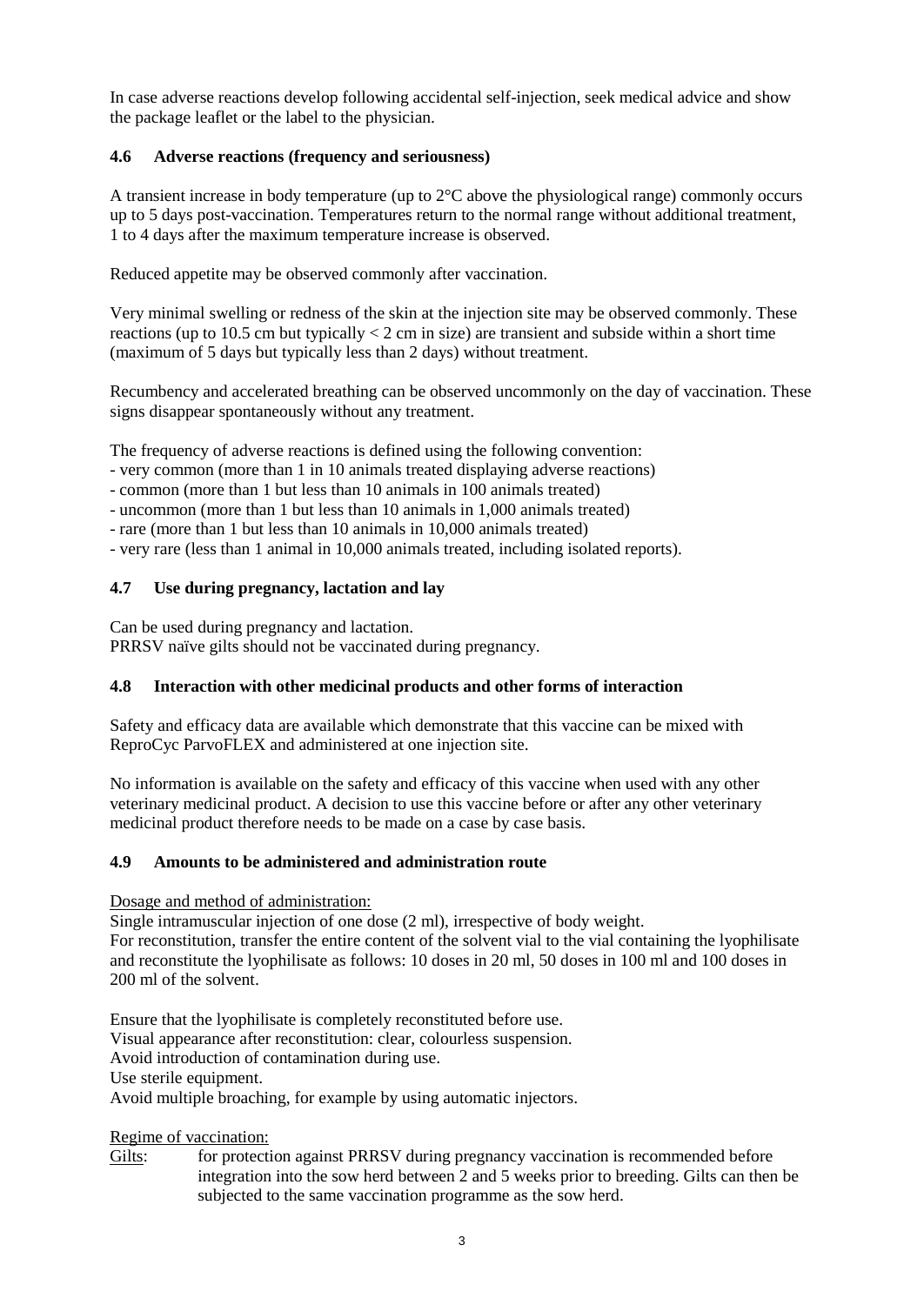In case adverse reactions develop following accidental self-injection, seek medical advice and show the package leaflet or the label to the physician.

## **4.6 Adverse reactions (frequency and seriousness)**

A transient increase in body temperature (up to 2°C above the physiological range) commonly occurs up to 5 days post-vaccination. Temperatures return to the normal range without additional treatment, 1 to 4 days after the maximum temperature increase is observed.

Reduced appetite may be observed commonly after vaccination.

Very minimal swelling or redness of the skin at the injection site may be observed commonly. These reactions (up to 10.5 cm but typically  $\lt 2$  cm in size) are transient and subside within a short time (maximum of 5 days but typically less than 2 days) without treatment.

Recumbency and accelerated breathing can be observed uncommonly on the day of vaccination. These signs disappear spontaneously without any treatment.

The frequency of adverse reactions is defined using the following convention:

- very common (more than 1 in 10 animals treated displaying adverse reactions)
- common (more than 1 but less than 10 animals in 100 animals treated)
- uncommon (more than 1 but less than 10 animals in 1,000 animals treated)
- rare (more than 1 but less than 10 animals in 10,000 animals treated)
- very rare (less than 1 animal in 10,000 animals treated, including isolated reports).

### **4.7 Use during pregnancy, lactation and lay**

Can be used during pregnancy and lactation. PRRSV naïve gilts should not be vaccinated during pregnancy.

# **4.8 Interaction with other medicinal products and other forms of interaction**

Safety and efficacy data are available which demonstrate that this vaccine can be mixed with ReproCyc ParvoFLEX and administered at one injection site.

No information is available on the safety and efficacy of this vaccine when used with any other veterinary medicinal product. A decision to use this vaccine before or after any other veterinary medicinal product therefore needs to be made on a case by case basis.

#### **4.9 Amounts to be administered and administration route**

Dosage and method of administration:

Single intramuscular injection of one dose (2 ml), irrespective of body weight. For reconstitution, transfer the entire content of the solvent vial to the vial containing the lyophilisate and reconstitute the lyophilisate as follows: 10 doses in 20 ml, 50 doses in 100 ml and 100 doses in 200 ml of the solvent.

Ensure that the lyophilisate is completely reconstituted before use. Visual appearance after reconstitution: clear, colourless suspension. Avoid introduction of contamination during use. Use sterile equipment. Avoid multiple broaching, for example by using automatic injectors.

#### Regime of vaccination:

Gilts: for protection against PRRSV during pregnancy vaccination is recommended before integration into the sow herd between 2 and 5 weeks prior to breeding. Gilts can then be subjected to the same vaccination programme as the sow herd.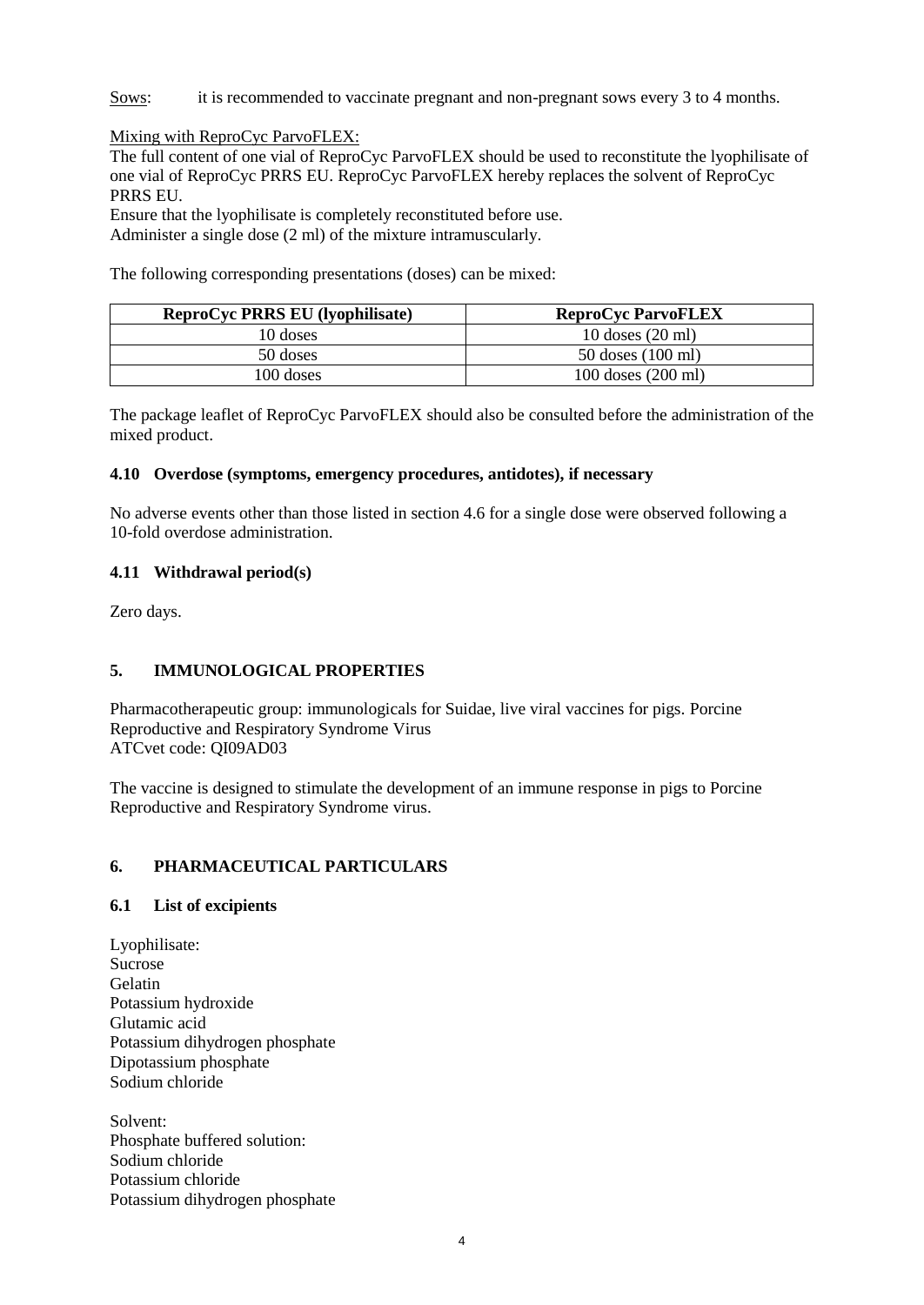Sows: it is recommended to vaccinate pregnant and non-pregnant sows every 3 to 4 months.

Mixing with ReproCyc ParvoFLEX:

The full content of one vial of ReproCyc ParvoFLEX should be used to reconstitute the lyophilisate of one vial of ReproCyc PRRS EU. ReproCyc ParvoFLEX hereby replaces the solvent of ReproCyc PRRS EU.

Ensure that the lyophilisate is completely reconstituted before use. Administer a single dose (2 ml) of the mixture intramuscularly.

The following corresponding presentations (doses) can be mixed:

| <b>ReproCyc PRRS EU (lyophilisate)</b> | <b>ReproCyc ParvoFLEX</b> |
|----------------------------------------|---------------------------|
| 10 doses                               | $10$ doses $(20$ ml)      |
| 50 doses                               | $50$ doses $(100$ ml)     |
| 100 doses                              | 100 doses (200 ml)        |

The package leaflet of ReproCyc ParvoFLEX should also be consulted before the administration of the mixed product.

### **4.10 Overdose (symptoms, emergency procedures, antidotes), if necessary**

No adverse events other than those listed in section 4.6 for a single dose were observed following a 10-fold overdose administration.

### **4.11 Withdrawal period(s)**

Zero days.

## **5. IMMUNOLOGICAL PROPERTIES**

Pharmacotherapeutic group: immunologicals for Suidae, live viral vaccines for pigs. Porcine Reproductive and Respiratory Syndrome Virus ATCvet code: QI09AD03

The vaccine is designed to stimulate the development of an immune response in pigs to Porcine Reproductive and Respiratory Syndrome virus.

## **6. PHARMACEUTICAL PARTICULARS**

#### **6.1 List of excipients**

Lyophilisate: Sucrose **Gelatin** Potassium hydroxide Glutamic acid Potassium dihydrogen phosphate Dipotassium phosphate Sodium chloride

Solvent: Phosphate buffered solution: Sodium chloride Potassium chloride Potassium dihydrogen phosphate